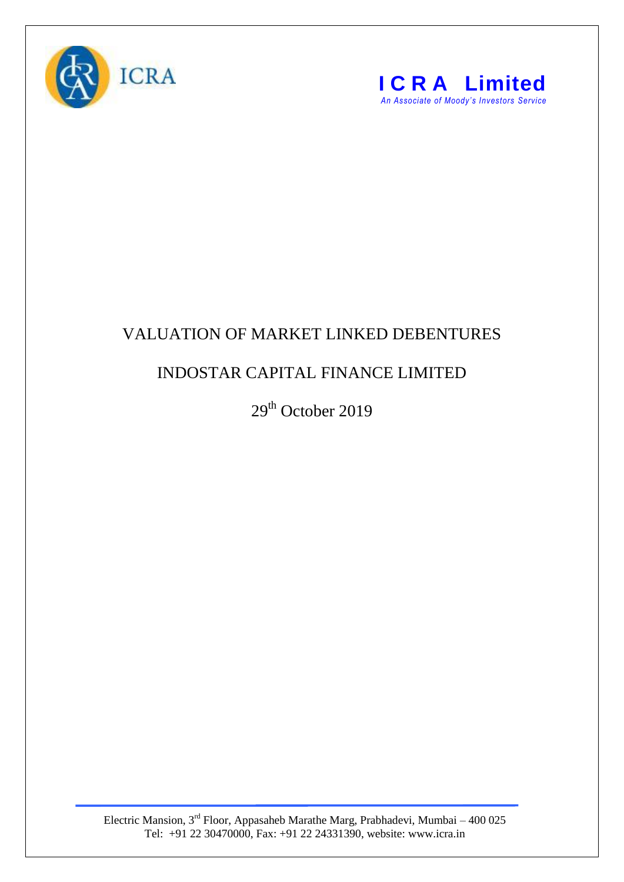



## VALUATION OF MARKET LINKED DEBENTURES

## INDOSTAR CAPITAL FINANCE LIMITED

29<sup>th</sup> October 2019

Electric Mansion,  $3<sup>rd</sup>$  Floor, Appasaheb Marathe Marg, Prabhadevi, Mumbai – 400 025 Tel: +91 22 30470000, Fax: +91 22 24331390, website: www.icra.in